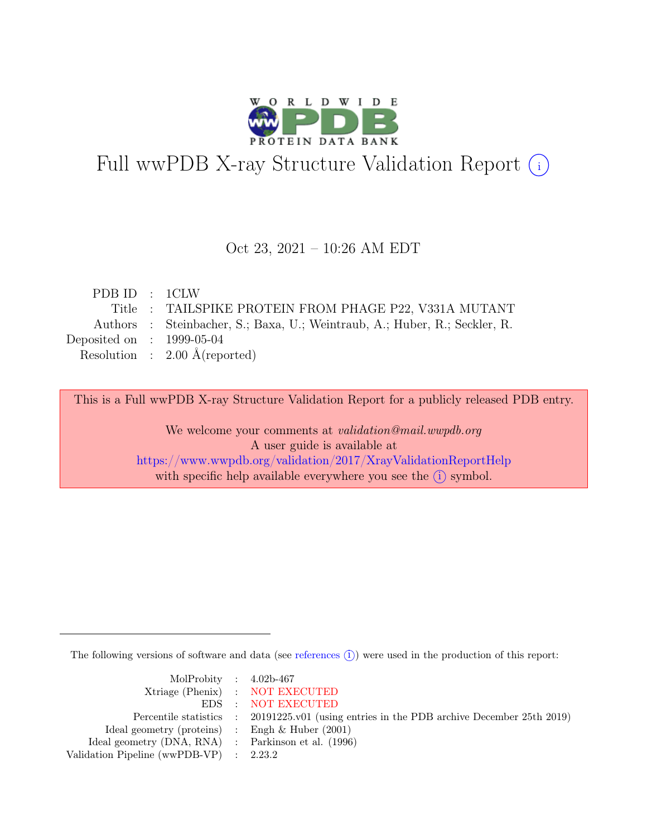

# Full wwPDB X-ray Structure Validation Report  $(i)$

### Oct 23, 2021 – 10:26 AM EDT

| PDBID : 1CLW                |                                                                            |
|-----------------------------|----------------------------------------------------------------------------|
|                             | Title : TAILSPIKE PROTEIN FROM PHAGE P22, V331A MUTANT                     |
|                             | Authors : Steinbacher, S.; Baxa, U.; Weintraub, A.; Huber, R.; Seckler, R. |
| Deposited on : $1999-05-04$ |                                                                            |
|                             | Resolution : $2.00 \text{ Å}$ (reported)                                   |
|                             |                                                                            |

This is a Full wwPDB X-ray Structure Validation Report for a publicly released PDB entry.

We welcome your comments at validation@mail.wwpdb.org A user guide is available at <https://www.wwpdb.org/validation/2017/XrayValidationReportHelp> with specific help available everywhere you see the  $(i)$  symbol.

The following versions of software and data (see [references](https://www.wwpdb.org/validation/2017/XrayValidationReportHelp#references)  $(i)$ ) were used in the production of this report:

| MolProbity : $4.02b-467$                            |                                                                                            |
|-----------------------------------------------------|--------------------------------------------------------------------------------------------|
|                                                     | Xtriage (Phenix) : NOT EXECUTED                                                            |
|                                                     | EDS : NOT EXECUTED                                                                         |
|                                                     | Percentile statistics : 20191225.v01 (using entries in the PDB archive December 25th 2019) |
| Ideal geometry (proteins) : Engh $\&$ Huber (2001)  |                                                                                            |
| Ideal geometry (DNA, RNA) : Parkinson et al. (1996) |                                                                                            |
| Validation Pipeline (wwPDB-VP) : 2.23.2             |                                                                                            |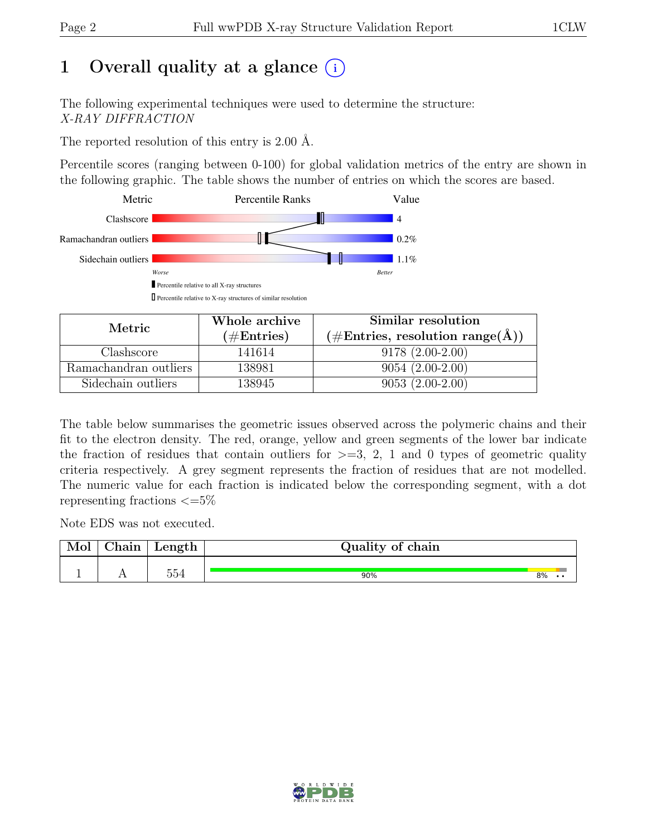# 1 Overall quality at a glance  $(i)$

The following experimental techniques were used to determine the structure: X-RAY DIFFRACTION

The reported resolution of this entry is 2.00 Å.

Percentile scores (ranging between 0-100) for global validation metrics of the entry are shown in the following graphic. The table shows the number of entries on which the scores are based.



| Metric                | Whole archive        | Similar resolution                                               |  |  |
|-----------------------|----------------------|------------------------------------------------------------------|--|--|
|                       | $(\#\text{Entries})$ | $(\#\text{Entries}, \text{ resolution range}(\text{\AA})^\circ)$ |  |  |
| Clashscore            | 141614               | $9178(2.00-2.00)$                                                |  |  |
| Ramachandran outliers | 138981               | $9054(2.00-2.00)$                                                |  |  |
| Sidechain outliers    | 138945               | $9053(2.00-2.00)$                                                |  |  |

The table below summarises the geometric issues observed across the polymeric chains and their fit to the electron density. The red, orange, yellow and green segments of the lower bar indicate the fraction of residues that contain outliers for  $\geq$ =3, 2, 1 and 0 types of geometric quality criteria respectively. A grey segment represents the fraction of residues that are not modelled. The numeric value for each fraction is indicated below the corresponding segment, with a dot representing fractions  $\epsilon = 5\%$ 

Note EDS was not executed.

| ~<br>$\bullet$<br>hain | Length | Quality<br>of chain |    |  |
|------------------------|--------|---------------------|----|--|
|                        | 554    |                     |    |  |
| . .                    |        | 90%                 | 8% |  |

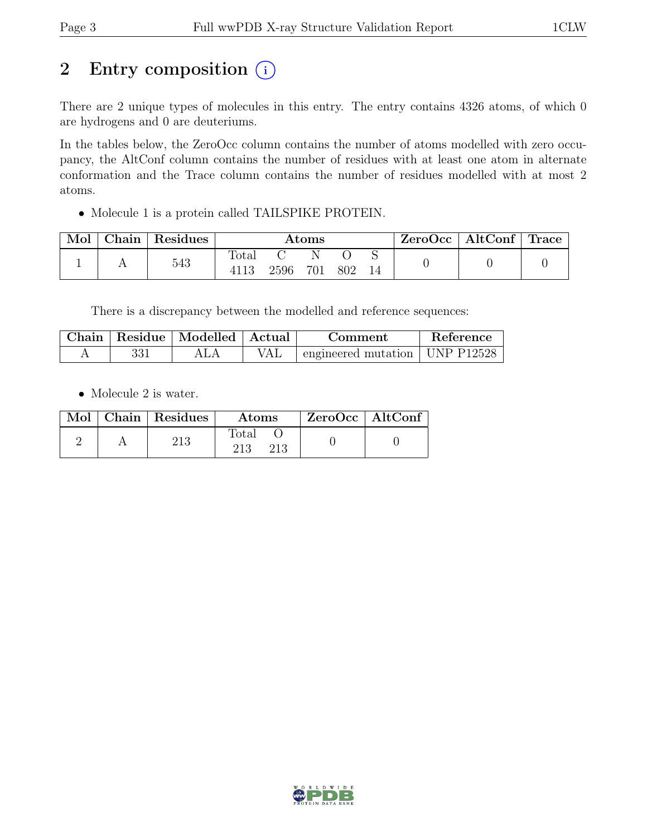# 2 Entry composition  $(i)$

There are 2 unique types of molecules in this entry. The entry contains 4326 atoms, of which 0 are hydrogens and 0 are deuteriums.

In the tables below, the ZeroOcc column contains the number of atoms modelled with zero occupancy, the AltConf column contains the number of residues with at least one atom in alternate conformation and the Trace column contains the number of residues modelled with at most 2 atoms.

• Molecule 1 is a protein called TAILSPIKE PROTEIN.

| Mol | Chain | Residues | $\rm{Atoms}$ |      |          |     | ZeroOcc | $\vert$ AltConf $\vert$ | $\mid$ Trace |  |
|-----|-------|----------|--------------|------|----------|-----|---------|-------------------------|--------------|--|
|     |       | 543      | Total        | 2596 | N<br>701 | 802 |         |                         |              |  |

There is a discrepancy between the modelled and reference sequences:

| Chain | Residue   Modelled   Actual | Comment                                    | Reference |
|-------|-----------------------------|--------------------------------------------|-----------|
|       |                             | $\pm$ engineered mutation $\pm$ UNP P12528 |           |

• Molecule 2 is water.

|  | Mol   Chain   Residues | <b>Atoms</b> | $ZeroOcc \   \$ AltConf |
|--|------------------------|--------------|-------------------------|
|  |                        | Total<br>213 |                         |

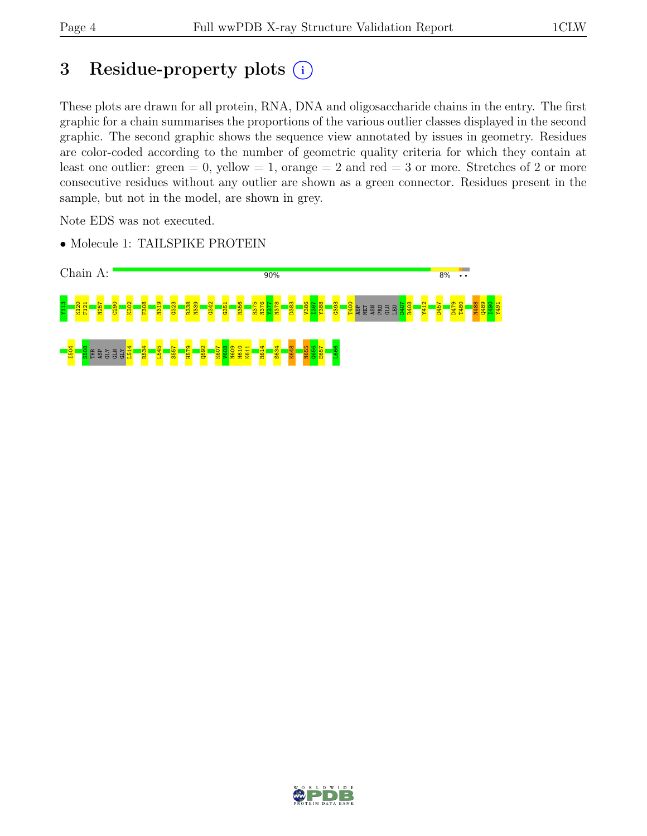# 3 Residue-property plots  $(i)$

These plots are drawn for all protein, RNA, DNA and oligosaccharide chains in the entry. The first graphic for a chain summarises the proportions of the various outlier classes displayed in the second graphic. The second graphic shows the sequence view annotated by issues in geometry. Residues are color-coded according to the number of geometric quality criteria for which they contain at least one outlier: green  $= 0$ , yellow  $= 1$ , orange  $= 2$  and red  $= 3$  or more. Stretches of 2 or more consecutive residues without any outlier are shown as a green connector. Residues present in the sample, but not in the model, are shown in grey.

Note EDS was not executed.

• Molecule 1: TAILSPIKE PROTEIN



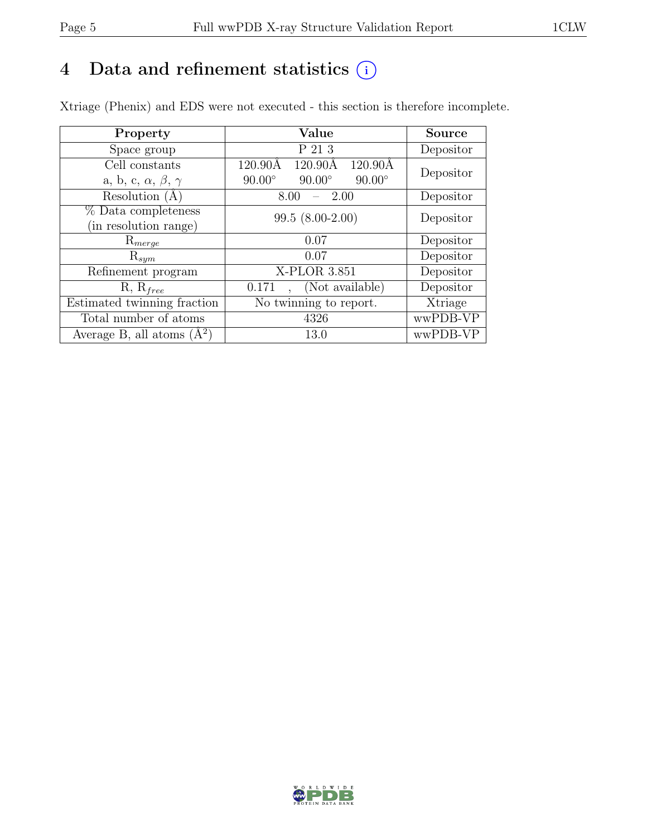# 4 Data and refinement statistics  $(i)$

Xtriage (Phenix) and EDS were not executed - this section is therefore incomplete.

| Property                               | Value                                                          | <b>Source</b> |  |
|----------------------------------------|----------------------------------------------------------------|---------------|--|
| Space group                            | P 21 3                                                         | Depositor     |  |
| Cell constants                         | $120.90\text{\AA}$<br>$120.90\text{\AA}$<br>$120.90\text{\AA}$ | Depositor     |  |
| a, b, c, $\alpha$ , $\beta$ , $\gamma$ | $90.00^\circ$<br>$90.00^\circ$<br>$90.00^\circ$                |               |  |
| Resolution $(A)$                       | 2.00<br>8.00                                                   | Depositor     |  |
| % Data completeness                    | $99.5(8.00-2.00)$                                              | Depositor     |  |
| (in resolution range)                  |                                                                |               |  |
| $\mathrm{R}_{merge}$                   | 0.07                                                           | Depositor     |  |
| $\mathrm{R}_{sym}$                     | 0.07                                                           | Depositor     |  |
| Refinement program                     | X-PLOR 3.851                                                   | Depositor     |  |
| $R, R_{free}$                          | (Not available)<br>0.171                                       | Depositor     |  |
| Estimated twinning fraction            | No twinning to report.                                         | Xtriage       |  |
| Total number of atoms                  | 4326                                                           | wwPDB-VP      |  |
| Average B, all atoms $(A^2)$           | 13.0                                                           | wwPDB-VP      |  |

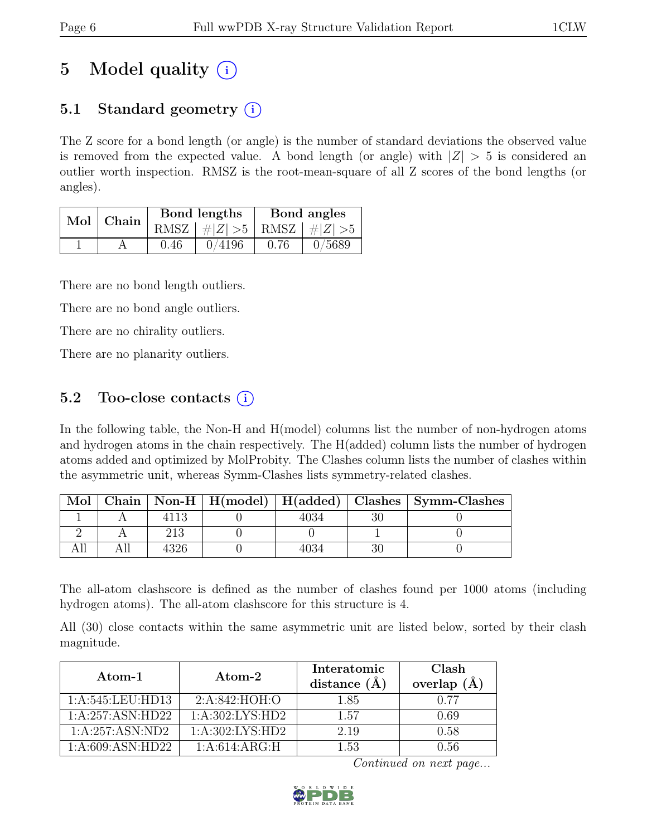# 5 Model quality  $(i)$

# 5.1 Standard geometry  $(i)$

The Z score for a bond length (or angle) is the number of standard deviations the observed value is removed from the expected value. A bond length (or angle) with  $|Z| > 5$  is considered an outlier worth inspection. RMSZ is the root-mean-square of all Z scores of the bond lengths (or angles).

|  | Mol   Chain |      | Bond lengths                      | Bond angles |        |
|--|-------------|------|-----------------------------------|-------------|--------|
|  |             |      | RMSZ $ #Z  > 5$   RMSZ $ #Z  > 5$ |             |        |
|  |             | 0.46 | 0/4196                            | 0.76        | 0/5689 |

There are no bond length outliers.

There are no bond angle outliers.

There are no chirality outliers.

There are no planarity outliers.

# 5.2 Too-close contacts  $(i)$

In the following table, the Non-H and H(model) columns list the number of non-hydrogen atoms and hydrogen atoms in the chain respectively. The H(added) column lists the number of hydrogen atoms added and optimized by MolProbity. The Clashes column lists the number of clashes within the asymmetric unit, whereas Symm-Clashes lists symmetry-related clashes.

| Mol |  |  | Chain   Non-H   H(model)   H(added)   Clashes   Symm-Clashes |
|-----|--|--|--------------------------------------------------------------|
|     |  |  |                                                              |
|     |  |  |                                                              |
|     |  |  |                                                              |

The all-atom clashscore is defined as the number of clashes found per 1000 atoms (including hydrogen atoms). The all-atom clashscore for this structure is 4.

All (30) close contacts within the same asymmetric unit are listed below, sorted by their clash magnitude.

| Atom-1             | $\rm{Atom}\text{-}2$ | Interatomic<br>distance $(A)$ | Clash<br>overlap $(A)$ |
|--------------------|----------------------|-------------------------------|------------------------|
| 1:A:545:LEU:HD13   | 2: A:842: HOH:O      | 1.85                          | 0.77                   |
| 1:A:257:ASN:HD22   | 1:A:302:LYS:HD2      | 1.57                          | 0.69                   |
| 1:A:257:ASN:ND2    | 1: A:302: LYS: HD2   | 2.19                          | 0.58                   |
| 1: A:609: ASN:HD22 | 1:A:614:ARG:H        | 1.53                          | 0.56                   |

Continued on next page...

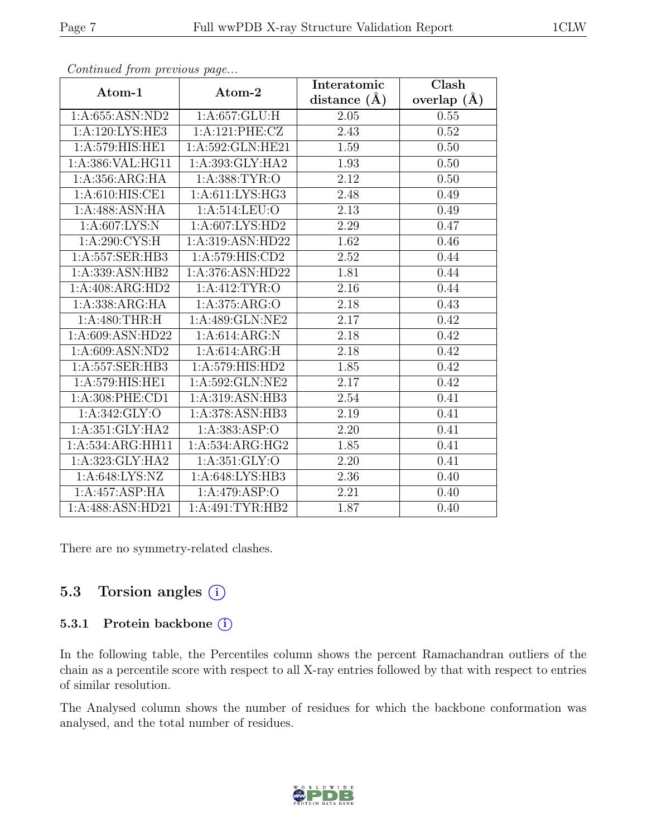| Atom-1                       | Atom-2                          | Interatomic       | Clash         |
|------------------------------|---------------------------------|-------------------|---------------|
|                              |                                 | distance $(\AA)$  | overlap $(A)$ |
| 1:A:655:ASN:ND2              | 1: A:657: GLU: H                | 2.05              | 0.55          |
| 1:A:120:LYS:HE3              | 1:A:121:PHE:CZ                  | 2.43              | 0.52          |
| 1: A:579: HIS: HE1           | 1:A:592:GLN:HE21                | 1.59              | 0.50          |
| 1:A:386:VAL:HG11             | 1:A:393:GLY:HA2                 | 1.93              | 0.50          |
| 1:A:356:ARG:HA               | 1: A: 388: TYR: O               | 2.12              | 0.50          |
| 1:A:610:HIS:CE1              | 1: A: 611: LYS: HG3             | 2.48              | 0.49          |
| 1:A:488:ASN:HA               | 1:A:514:LEU:O                   | 2.13              | 0.49          |
| 1: A:607: LYS: N             | 1:A:607:LYS:HD2                 | 2.29              | 0.47          |
| 1: A:290: CYS:H              | 1:A:319:ASN:HD22                | 1.62              | 0.46          |
| 1:A:557:SER:HB3              | 1:A:579:HIS:CD2                 | 2.52              | 0.44          |
| 1:A:339:ASN:HB2              | 1:A:376:ASN:HD22                | 1.81              | 0.44          |
| $1:A:408:A\overline{R}G:HD2$ | 1: A: 412: TYR: O               | $\overline{2.16}$ | 0.44          |
| 1:A:338:ARG:HA               | 1:A:375:ARG:O                   | 2.18              | 0.43          |
| $1:A:480:THR:\overline{H}$   | $1: A:489: GLN: \overline{NE2}$ | 2.17              | 0.42          |
| 1:A:609:ASN:HD22             | 1:A:614:ARG:N                   | 2.18              | 0.42          |
| 1: A:609: ASN:ND2            | 1:A:614:ARG:H                   | 2.18              | 0.42          |
| 1: A: 557: SER: HB3          | 1: A:579: HIS: HD2              | 1.85              | 0.42          |
| 1:A:579:HIS:HE1              | 1:A:592:GLN:NE2                 | 2.17              | 0.42          |
| 1: A:308: PHE:CD1            | 1:A:319:ASN:HB3                 | 2.54              | 0.41          |
| 1: A:342: GLY:O              | 1:A:378:ASN:HB3                 | 2.19              | 0.41          |
| 1: A:351: GLY:HA2            | 1: A: 383: ASP: O               | 2.20              | 0.41          |
| 1:A:534:ARG:HH11             | 1:A:534:ARG:HG2                 | 1.85              | 0.41          |
| 1:A:323:GLY:HA2              | 1:A:351:GLY:O                   | 2.20              | 0.41          |
| 1: A:648: LYS: NZ            | 1:A:648:LYS:HB3                 | 2.36              | 0.40          |
| 1:A:457:ASP:HA               | 1:A:479:ASP:O                   | 2.21              | 0.40          |
| 1:A:488:ASN:HD21             | 1:A:491:TYR:HB2                 | 1.87              | 0.40          |

Continued from previous page...

There are no symmetry-related clashes.

### 5.3 Torsion angles (i)

#### 5.3.1 Protein backbone (i)

In the following table, the Percentiles column shows the percent Ramachandran outliers of the chain as a percentile score with respect to all X-ray entries followed by that with respect to entries of similar resolution.

The Analysed column shows the number of residues for which the backbone conformation was analysed, and the total number of residues.

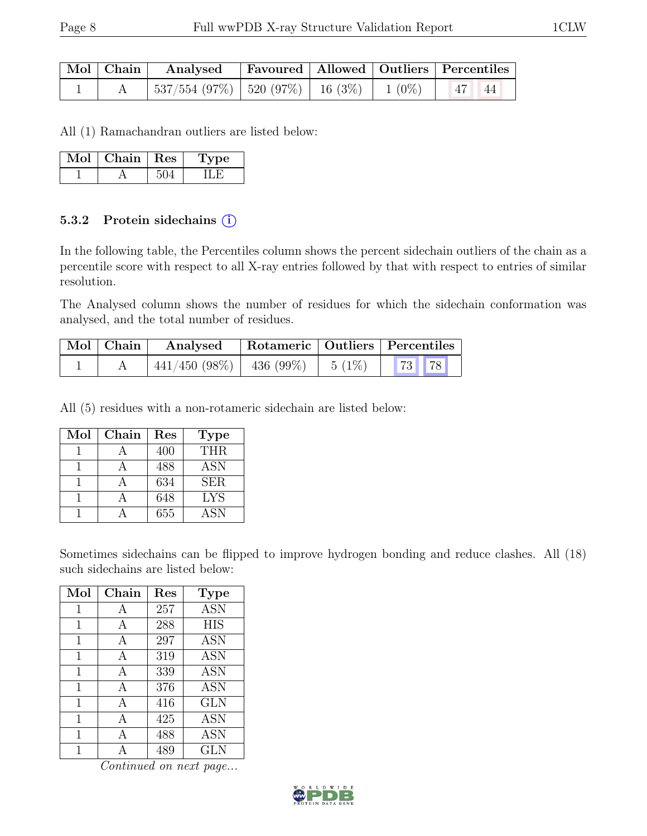|  | Mol Chain Analysed Favoured   Allowed   Outliers   Percentiles                               |  |  |  |
|--|----------------------------------------------------------------------------------------------|--|--|--|
|  | $\mid 537/554 \; (97\%) \mid 520 \; (97\%) \mid 16 \; (3\%) \mid 1 \; (0\%) \mid 47 \mid 44$ |  |  |  |

All (1) Ramachandran outliers are listed below:

| Mol | Chain   Res | ype |
|-----|-------------|-----|
|     |             |     |

#### 5.3.2 Protein sidechains  $(i)$

In the following table, the Percentiles column shows the percent sidechain outliers of the chain as a percentile score with respect to all X-ray entries followed by that with respect to entries of similar resolution.

The Analysed column shows the number of residues for which the sidechain conformation was analysed, and the total number of residues.

| $\vert$ Mol $\vert$ Chain $\vert$ | Analysed                                                                                                 |  | Rotameric   Outliers   Percentiles |
|-----------------------------------|----------------------------------------------------------------------------------------------------------|--|------------------------------------|
|                                   | $\frac{1}{441}/450$ (98%) $\left( \begin{array}{c c} 436 & (99\%) & 5 & (1\%) \end{array} \right)$ 73 78 |  |                                    |

All (5) residues with a non-rotameric sidechain are listed below:

| Mol | Chain | Res | <b>Type</b> |
|-----|-------|-----|-------------|
|     |       | 400 | THR.        |
|     |       | 488 | <b>ASN</b>  |
|     |       | 634 | <b>SER</b>  |
|     |       | 648 | <b>LYS</b>  |
|     |       | 655 | <b>ASN</b>  |

Sometimes sidechains can be flipped to improve hydrogen bonding and reduce clashes. All (18) such sidechains are listed below:

| Mol         | Chain | Res | Type       |
|-------------|-------|-----|------------|
| 1           | A     | 257 | <b>ASN</b> |
| $\mathbf 1$ | A     | 288 | <b>HIS</b> |
| 1           | A     | 297 | <b>ASN</b> |
| 1           | A     | 319 | <b>ASN</b> |
| 1           | A     | 339 | <b>ASN</b> |
| 1           | A     | 376 | <b>ASN</b> |
| 1           | A     | 416 | <b>GLN</b> |
| 1           | A     | 425 | <b>ASN</b> |
| 1           | А     | 488 | <b>ASN</b> |
|             |       | 489 | <b>GLN</b> |

Continued on next page...

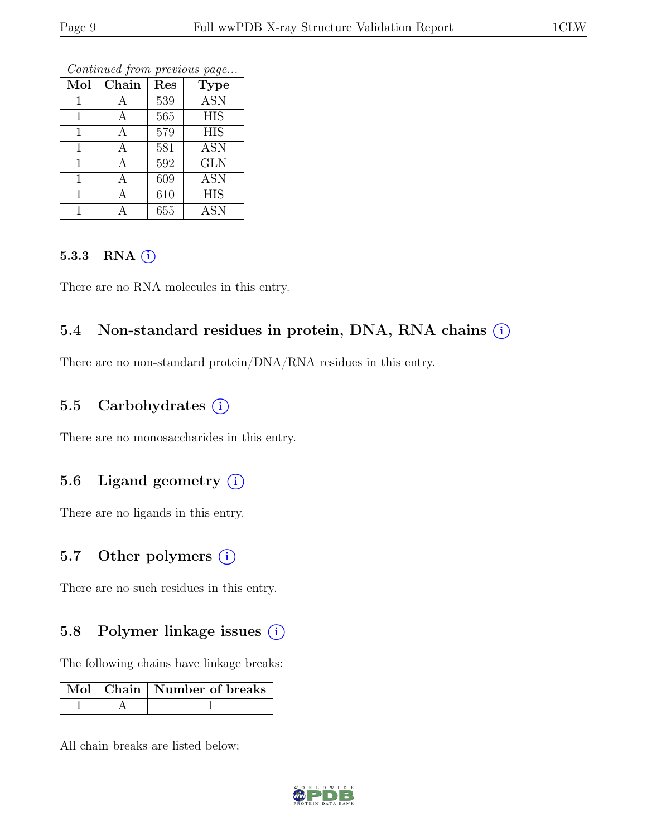|              |              |     | $\mathbf{I}$ |
|--------------|--------------|-----|--------------|
| Mol          | Chain        | Res | <b>Type</b>  |
|              | А            | 539 | <b>ASN</b>   |
|              | А            | 565 | <b>HIS</b>   |
|              | А            | 579 | <b>HIS</b>   |
| 1            | $\mathbf{A}$ | 581 | <b>ASN</b>   |
|              | А            | 592 | <b>GLN</b>   |
| $\mathbf{1}$ | А            | 609 | <b>ASN</b>   |
| 1            |              | 610 | <b>HIS</b>   |
|              |              | 655 | <b>ASN</b>   |

Continued from previous page...

#### $5.3.3$  RNA  $(i)$

There are no RNA molecules in this entry.

# 5.4 Non-standard residues in protein, DNA, RNA chains (i)

There are no non-standard protein/DNA/RNA residues in this entry.

# 5.5 Carbohydrates (i)

There are no monosaccharides in this entry.

### 5.6 Ligand geometry (i)

There are no ligands in this entry.

### 5.7 Other polymers  $(i)$

There are no such residues in this entry.

# 5.8 Polymer linkage issues  $(i)$

The following chains have linkage breaks:

|  | $\mid$ Mol $\mid$ Chain $\mid$ Number of breaks |
|--|-------------------------------------------------|
|  |                                                 |

All chain breaks are listed below:

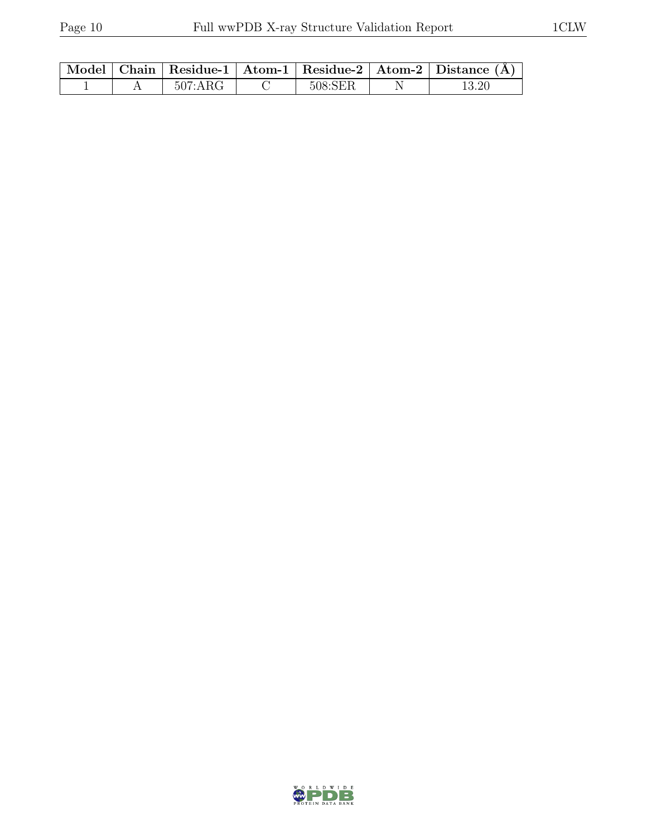|  |         |         | Model   Chain   Residue-1   Atom-1   Residue-2   Atom-2   Distance $(A)$ |
|--|---------|---------|--------------------------------------------------------------------------|
|  | 507:ARG | 508:SER |                                                                          |